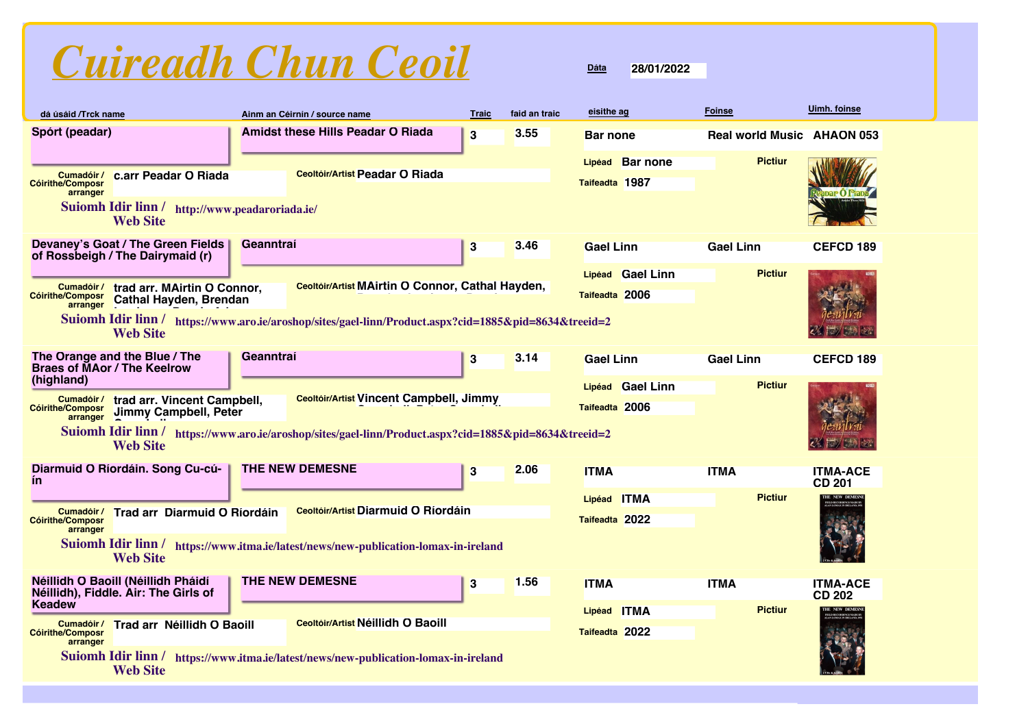| dá úsáid /Trck name                               |                                                                                |           | Ainm an Céirnín / source name                                                                         | <b>Traic</b> | faid an traic | eisithe ag                        | <b>Foinse</b>    |                | Uimh. foinse                      |
|---------------------------------------------------|--------------------------------------------------------------------------------|-----------|-------------------------------------------------------------------------------------------------------|--------------|---------------|-----------------------------------|------------------|----------------|-----------------------------------|
| Spórt (peadar)                                    |                                                                                |           | <b>Amidst these Hills Peadar O Riada</b>                                                              | $\bf{3}$     | 3.55          | <b>Bar none</b>                   |                  |                | <b>Real world Music AHAON 053</b> |
| Cumadóir /<br><b>Cóirithe/Composr</b><br>arranger | c.arr Peadar O Riada                                                           |           | <b>Ceoltóir/Artist Peadar O Riada</b>                                                                 |              |               | Lipéad Bar none<br>Taifeadta 1987 |                  | <b>Pictiur</b> |                                   |
|                                                   | Suiomh Idir linn / http://www.peadaroriada.ie/<br><b>Web Site</b>              |           |                                                                                                       |              |               |                                   |                  |                |                                   |
|                                                   | Devaney's Goat / The Green Fields<br>of Rossbeigh / The Dairymaid (r)          | Geanntraí |                                                                                                       | 3            | 3.46          | <b>Gael Linn</b>                  | <b>Gael Linn</b> |                | <b>CEFCD 189</b>                  |
|                                                   |                                                                                |           |                                                                                                       |              |               | Lipéad Gael Linn                  |                  | <b>Pictiur</b> |                                   |
| <b>Cóirithe/Composr</b>                           | Cumadóir/ trad arr. MAirtin O Connor,<br><b>Compost</b> Cathal Hayden, Brendan |           | Ceoltóir/Artist MAirtin O Connor, Cathal Hayden,                                                      |              |               | Taifeadta 2006                    |                  |                |                                   |
|                                                   | <b>Web Site</b>                                                                |           | Suiomh Idir linn / https://www.aro.ie/aroshop/sites/gael-linn/Product.aspx?cid=1885&pid=8634&treeid=2 |              |               |                                   |                  |                |                                   |
| (highland)                                        | The Orange and the Blue / The<br><b>Braes of MAor / The Keelrow</b>            | Geanntraí |                                                                                                       | 3            | 3.14          | <b>Gael Linn</b>                  | <b>Gael Linn</b> |                | <b>CEFCD 189</b>                  |
|                                                   |                                                                                |           | Ceoltóir/Artist Vincent Campbell, Jimmy                                                               |              |               | Lipéad Gael Linn                  |                  | <b>Pictiur</b> |                                   |
| <b>Cóirithe/Composr</b><br>arranger               | Cumadóir/ trad arr. Vincent Campbell,<br>Jimmy Campbell, Peter                 |           |                                                                                                       |              |               | Taifeadta 2006                    |                  |                |                                   |
|                                                   | <b>Web Site</b>                                                                |           | Suiomh Idir linn / https://www.aro.ie/aroshop/sites/gael-linn/Product.aspx?cid=1885&pid=8634&treeid=2 |              |               |                                   |                  |                |                                   |
| ín                                                | Diarmuid O Ríordáin. Song Cu-cú-                                               |           | <b>THE NEW DEMESNE</b>                                                                                | 3            | 2.06          | <b>ITMA</b>                       | <b>ITMA</b>      |                | <b>ITMA-ACE</b><br><b>CD 201</b>  |
|                                                   |                                                                                |           |                                                                                                       |              |               | Lipéad ITMA                       |                  | <b>Pictiur</b> |                                   |
| Cumadóir /<br><b>Cóirithe/Composr</b>             | Trad arr Diarmuid O Ríordáin                                                   |           | Ceoltóir/Artist Diarmuid O Ríordáin                                                                   |              |               | Taifeadta 2022                    |                  |                |                                   |
| arranger                                          | <b>Web Site</b>                                                                |           | Suiomh Idir linn / https://www.itma.ie/latest/news/new-publication-lomax-in-ireland                   |              |               |                                   |                  |                |                                   |
| <b>Keadew</b>                                     | Néillidh O Baoill (Néillidh Pháidí<br>Néillidh), Fiddle. Air: The Girls of     |           | THE NEW DEMESNE                                                                                       | 3            | 1.56          | <b>ITMA</b>                       | <b>ITMA</b>      |                | <b>ITMA-ACE</b><br>CD 202         |
|                                                   | Cumadóir/ Trad arr Néillidh O Baoill                                           |           | Ceoltóir/Artist Néillidh O Baoill                                                                     |              |               | Lipéad ITMA                       |                  | <b>Pictiur</b> | THE NEW DEME                      |
| <b>Cóirithe/Composr</b><br>arranger               |                                                                                |           |                                                                                                       |              |               | Taifeadta 2022                    |                  |                |                                   |
|                                                   | Suiomh Idir linn /<br><b>Web Site</b>                                          |           | https://www.itma.ie/latest/news/new-publication-lomax-in-ireland                                      |              |               |                                   |                  |                |                                   |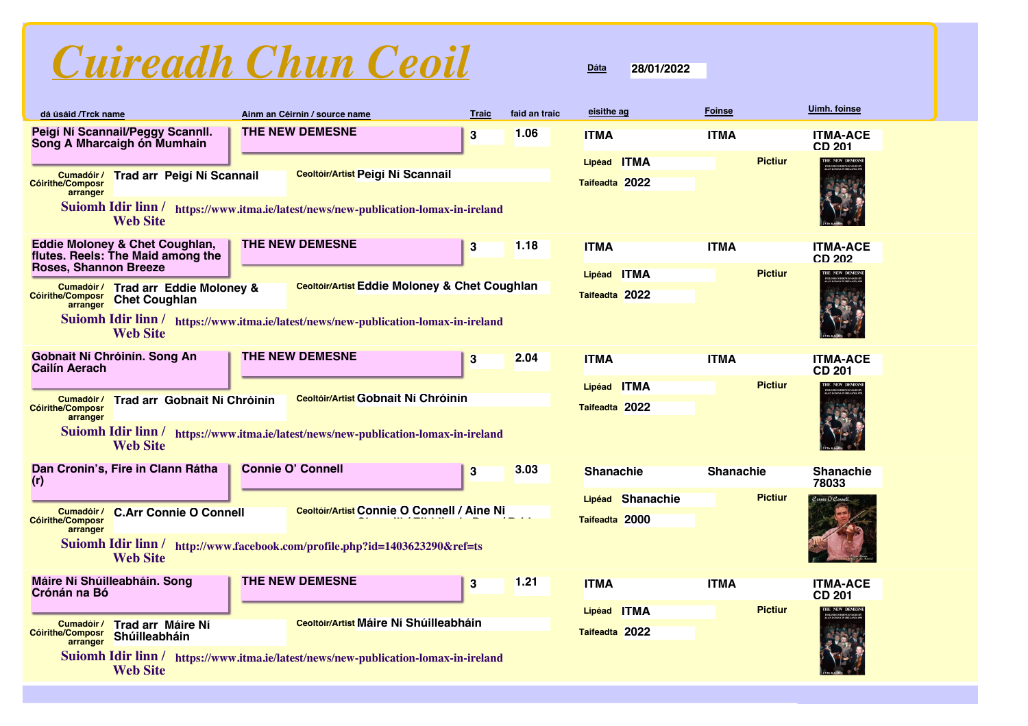| dá úsáid /Trck name                                  |                                                                     | Ainm an Céirnín / source name                                                       | <b>Traic</b> | faid an traic | eisithe ag            | <b>Foinse</b>    | Uimh. foinse                     |
|------------------------------------------------------|---------------------------------------------------------------------|-------------------------------------------------------------------------------------|--------------|---------------|-----------------------|------------------|----------------------------------|
|                                                      | Peigí Ní Scannail/Peggy Scannll.<br>Song A Mharcaigh ón Mumhain     | <b>THE NEW DEMESNE</b>                                                              | 3            | 1.06          | <b>ITMA</b>           | <b>ITMA</b>      | <b>ITMA-ACE</b><br><b>CD 201</b> |
|                                                      |                                                                     |                                                                                     |              |               | <b>ITMA</b><br>Lipéad | <b>Pictiur</b>   | THE NEW DEMES                    |
| Cumadóir /<br><b>Cóirithe/Composr</b><br>arranger    | Trad arr Peigí Ní Scannail                                          | Ceoltóir/Artist Peigí Ní Scannail                                                   |              |               | Taifeadta 2022        |                  |                                  |
|                                                      | <b>Web Site</b>                                                     | Suiomh Idir linn / https://www.itma.ie/latest/news/new-publication-lomax-in-ireland |              |               |                       |                  |                                  |
|                                                      | Eddie Moloney & Chet Coughlan,<br>flutes. Reels: The Maid among the | THE NEW DEMESNE                                                                     | $\bf{3}$     | 1.18          | <b>ITMA</b>           | <b>ITMA</b>      | <b>ITMA-ACE</b><br><b>CD 202</b> |
| <b>Roses, Shannon Breeze</b>                         |                                                                     |                                                                                     |              |               | <b>ITMA</b><br>Lipéad | <b>Pictiur</b>   | THE NEW DEMESN                   |
| <b>Cóirithe/Composr</b><br>arranger                  | Cumadóir/ Trad arr Eddie Moloney &<br><b>Chet Coughlan</b>          | Ceoltóir/Artist Eddie Moloney & Chet Coughlan                                       |              |               | Taifeadta 2022        |                  |                                  |
|                                                      | <b>Web Site</b>                                                     | Suiomh Idir linn / https://www.itma.ie/latest/news/new-publication-lomax-in-ireland |              |               |                       |                  |                                  |
| Gobnait Ní Chróinín. Song An<br><b>Cailín Aerach</b> |                                                                     | <b>THE NEW DEMESNE</b>                                                              | 3            | 2.04          | <b>ITMA</b>           | <b>ITMA</b>      | <b>ITMA-ACE</b><br><b>CD 201</b> |
|                                                      |                                                                     |                                                                                     |              |               | <b>ITMA</b><br>Lipéad | <b>Pictiur</b>   | THE NEW DEMESN                   |
| Cumadóir /<br><b>Cóirithe/Composr</b>                | Trad arr Gobnait Ní Chróinín                                        | <b>Ceoltóir/Artist Gobnait Ní Chróinín</b>                                          |              |               | Taifeadta 2022        |                  |                                  |
| arranger                                             | <b>Web Site</b>                                                     | Suiomh Idir linn / https://www.itma.ie/latest/news/new-publication-lomax-in-ireland |              |               |                       |                  |                                  |
| (r)                                                  | Dan Cronin's, Fire in Clann Rátha                                   | <b>Connie O' Connell</b>                                                            | 3            | 3.03          | <b>Shanachie</b>      | <b>Shanachie</b> | <b>Shanachie</b><br>78033        |
|                                                      |                                                                     |                                                                                     |              |               | Lipéad Shanachie      | <b>Pictiur</b>   | Connie O'Connell                 |
| Cumadóir /<br><b>Cóirithe/Composr</b>                | <b>C.Arr Connie O Connell</b>                                       | Ceoltóir/Artist Connie O Connell / Aine Ni                                          |              |               | Taifeadta 2000        |                  |                                  |
| arranger                                             | <b>Web Site</b>                                                     | Suiomh Idir linn / http://www.facebook.com/profile.php?id=1403623290&ref=ts         |              |               |                       |                  |                                  |
| Máire Ní Shúilleabháin. Song<br>Crónán na Bó         |                                                                     | <b>THE NEW DEMESNE</b>                                                              | $\bf{3}$     | 1.21          | <b>ITMA</b>           | <b>ITMA</b>      | <b>ITMA-ACE</b><br><b>CD 201</b> |
|                                                      |                                                                     |                                                                                     |              |               | Lipéad ITMA           | <b>Pictiur</b>   | THE NEW DEMES?                   |
| Cumadóir /<br>Cóirithe/Composr<br>arranger           | Trad arr Máire Ní<br>Shúilleabháin                                  | <b>Ceoltóir/Artist Máire Ní Shúilleabháin</b>                                       |              |               | Taifeadta 2022        |                  |                                  |
|                                                      | <b>Web Site</b>                                                     | Suiomh Idir linn / https://www.itma.ie/latest/news/new-publication-lomax-in-ireland |              |               |                       |                  |                                  |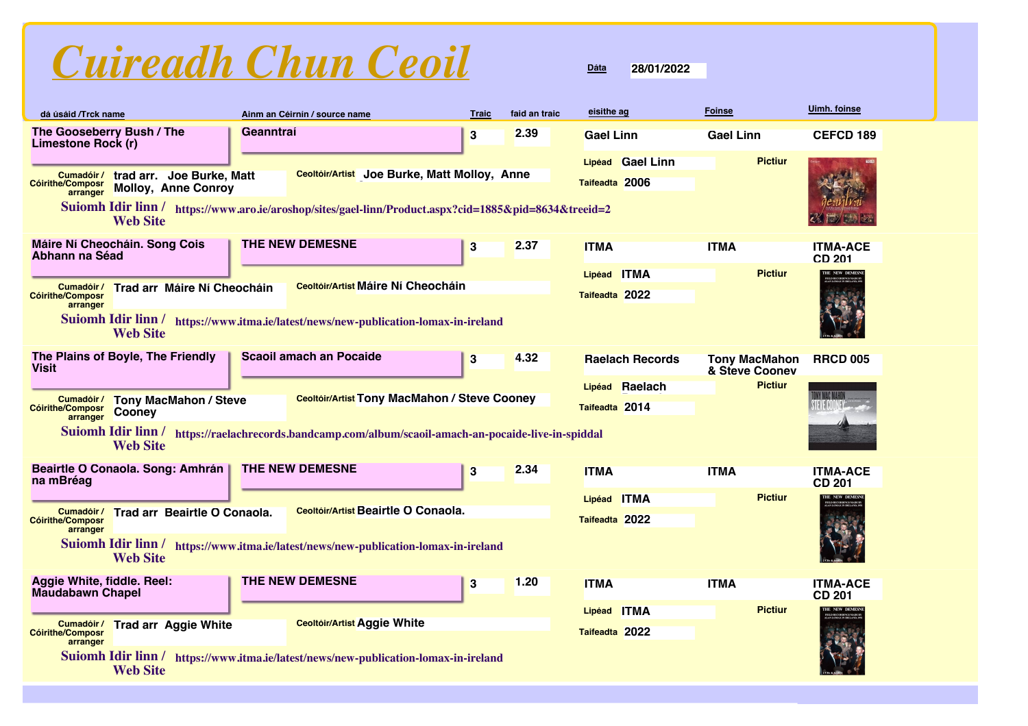

| dá úsáid /Trck name                                                                                          | Ainm an Céirnín / source name                                                                         | <b>Traic</b> | faid an traic | eisithe ag             | <b>Foinse</b>                          | Uimh. foinse                     |  |
|--------------------------------------------------------------------------------------------------------------|-------------------------------------------------------------------------------------------------------|--------------|---------------|------------------------|----------------------------------------|----------------------------------|--|
| The Gooseberry Bush / The<br><b>Limestone Rock (r)</b>                                                       | Geanntraí                                                                                             | 3            | 2.39          | <b>Gael Linn</b>       | <b>Gael Linn</b>                       | <b>CEFCD 189</b>                 |  |
|                                                                                                              |                                                                                                       |              |               | Lipéad Gael Linn       | <b>Pictiur</b>                         |                                  |  |
| trad arr. Joe Burke, Matt<br>Cumadóir /<br><b>Cóirithe/Composr</b><br><b>Molloy, Anne Conroy</b><br>arranger | Ceoltóir/Artist Joe Burke, Matt Molloy, Anne                                                          |              |               | Taifeadta 2006         |                                        |                                  |  |
| <b>Web Site</b>                                                                                              | Suiomh Idir linn / https://www.aro.ie/aroshop/sites/gael-linn/Product.aspx?cid=1885&pid=8634&treeid=2 |              |               |                        |                                        |                                  |  |
| Máire Ní Cheocháin. Song Cois<br>Abhann na Séad                                                              | <b>THE NEW DEMESNE</b>                                                                                | 3            | 2.37          | <b>ITMA</b>            | <b>ITMA</b>                            | <b>ITMA-ACE</b><br><b>CD 201</b> |  |
|                                                                                                              |                                                                                                       |              |               | Lipéad ITMA            | <b>Pictiur</b>                         | THE NEW DEMES?                   |  |
| Trad arr Máire Ní Cheocháin<br>Cumadóir /<br><b>Cóirithe/Composr</b>                                         | <b>Ceoltóir/Artist Máire Ní Cheocháin</b>                                                             |              |               | Taifeadta 2022         |                                        |                                  |  |
| arranger<br><b>Web Site</b>                                                                                  | Suiomh Idir linn / https://www.itma.ie/latest/news/new-publication-lomax-in-ireland                   |              |               |                        |                                        |                                  |  |
| The Plains of Boyle, The Friendly<br><b>Visit</b>                                                            | <b>Scaoil amach an Pocaide</b>                                                                        | 3            | 4.32          | <b>Raelach Records</b> | <b>Tony MacMahon</b><br>& Steve Cooney | <b>RRCD 005</b>                  |  |
|                                                                                                              |                                                                                                       |              |               | Lipéad Raelach         | <b>Pictiur</b>                         |                                  |  |
| Cumadóir /<br><b>Tony MacMahon / Steve</b><br><b>Cóirithe/Composr</b><br>Cooney<br>arranger                  | <b>Ceoltóir/Artist Tony MacMahon / Steve Cooney</b>                                                   |              |               | Taifeadta 2014         |                                        |                                  |  |
| <b>Web Site</b>                                                                                              | Suiomh Idir linn / https://raelachrecords.bandcamp.com/album/scaoil-amach-an-pocaide-live-in-spiddal  |              |               |                        |                                        |                                  |  |
| Beairtle O Conaola. Song: Amhrán<br>na mBréag                                                                | THE NEW DEMESNE                                                                                       | 3            | 2.34          | <b>ITMA</b>            | <b>ITMA</b>                            | <b>ITMA-ACE</b><br><b>CD 201</b> |  |
|                                                                                                              |                                                                                                       |              |               | Lipéad ITMA            | <b>Pictiur</b>                         | <b>HE NEW DEMES</b>              |  |
| Trad arr Beairtle O Conaola.<br>Cumadóir /<br><b>Cóirithe/Composr</b>                                        | Ceoltóir/Artist Beairtle O Conaola.                                                                   |              |               | Taifeadta 2022         |                                        |                                  |  |
| <b>Web Site</b>                                                                                              | arranger<br>Suiomh Idir linn / https://www.itma.ie/latest/news/new-publication-lomax-in-ireland       |              |               |                        |                                        |                                  |  |
| Aggie White, fiddle. Reel:<br><b>Maudabawn Chapel</b>                                                        | <b>THE NEW DEMESNE</b>                                                                                | $\bf{3}$     | 1.20          | <b>ITMA</b>            | <b>ITMA</b>                            | <b>ITMA-ACE</b><br><b>CD 201</b> |  |
|                                                                                                              |                                                                                                       |              |               | Lipéad ITMA            | <b>Pictiur</b>                         | THE NEW DEMES                    |  |
| <b>Trad arr Aggie White</b><br>Cumadóir /<br><b>Cóirithe/Composr</b><br>arranger                             | <b>Ceoltóir/Artist Aggie White</b>                                                                    |              |               | Taifeadta 2022         |                                        |                                  |  |
| <b>Suiomh Idir linn/</b><br><b>Web Site</b>                                                                  | https://www.itma.ie/latest/news/new-publication-lomax-in-ireland                                      |              |               |                        |                                        |                                  |  |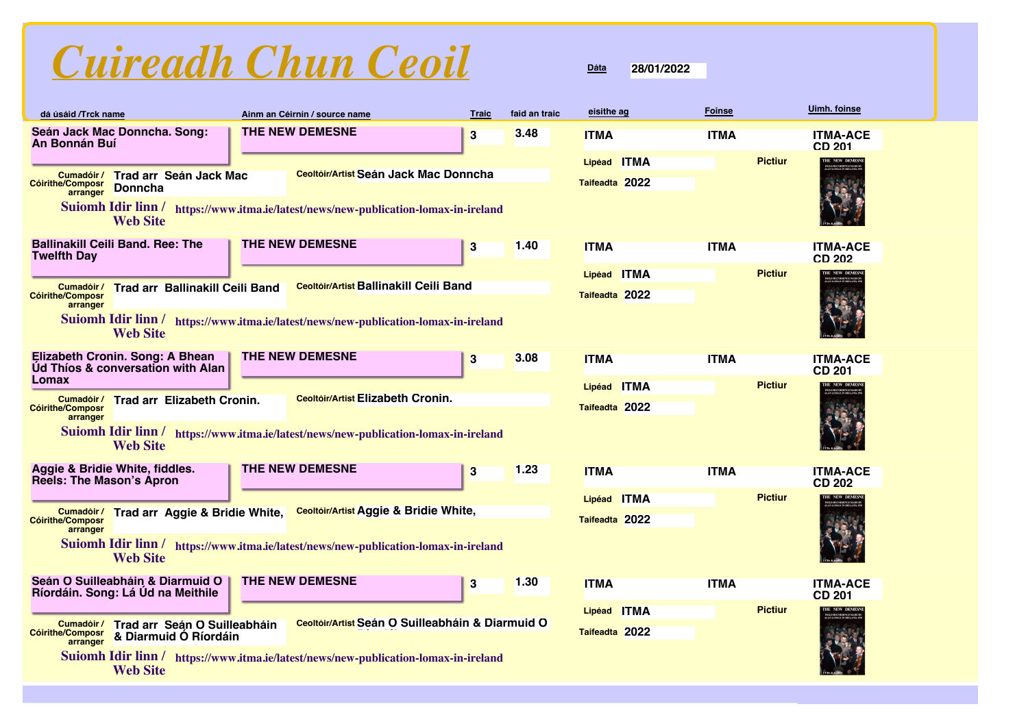| dá úsáid /Trck name                                                                                                                                         |                                                                       |  | Ainm an Céirnín / source name                                                       | <b>Traic</b> | faid an traic | eisithe ag     | <b>Foinse</b> |                | Uimh. foinse                     |
|-------------------------------------------------------------------------------------------------------------------------------------------------------------|-----------------------------------------------------------------------|--|-------------------------------------------------------------------------------------|--------------|---------------|----------------|---------------|----------------|----------------------------------|
| <b>An Bonnán Buí</b>                                                                                                                                        | Seán Jack Mac Donncha. Song:                                          |  | <b>THE NEW DEMESNE</b>                                                              | 3            | 3.48          | <b>ITMA</b>    | <b>ITMA</b>   |                | <b>ITMA-ACE</b><br><b>CD 201</b> |
|                                                                                                                                                             |                                                                       |  |                                                                                     |              |               | Lipéad ITMA    |               | <b>Pictiur</b> | THE NEW DEMES                    |
| <b>Ceoltóir/Artist Seán Jack Mac Donncha</b><br>Cumadóir/ Trad arr Seán Jack Mac<br>Taifeadta 2022<br><b>Cóirithe/Composr</b><br><b>Donncha</b><br>arranger |                                                                       |  |                                                                                     |              |               |                |               |                |                                  |
|                                                                                                                                                             | <b>Web Site</b>                                                       |  | Suiomh Idir linn / https://www.itma.ie/latest/news/new-publication-lomax-in-ireland |              |               |                |               |                |                                  |
| <b>Twelfth Day</b>                                                                                                                                          | <b>Ballinakill Ceili Band. Ree: The</b>                               |  | <b>THE NEW DEMESNE</b>                                                              | 3            | 1.40          | <b>ITMA</b>    | <b>ITMA</b>   |                | <b>ITMA-ACE</b><br><b>CD 202</b> |
|                                                                                                                                                             |                                                                       |  |                                                                                     |              |               | Lipéad ITMA    |               | <b>Pictiur</b> | THE NEW DEMES!                   |
| Cumadóir /<br><b>Cóirithe/Composr</b><br>arranger                                                                                                           | <b>Trad arr Ballinakill Ceili Band</b>                                |  | Ceoltóir/Artist Ballinakill Ceili Band                                              |              |               | Taifeadta 2022 |               |                |                                  |
|                                                                                                                                                             | <b>Web Site</b>                                                       |  | Suiomh Idir linn / https://www.itma.ie/latest/news/new-publication-lomax-in-ireland |              |               |                |               |                |                                  |
|                                                                                                                                                             | Elizabeth Cronin. Song: A Bhean<br>Ud Thios & conversation with Alan  |  | <b>THE NEW DEMESNE</b>                                                              | 3            | 3.08          | <b>ITMA</b>    | <b>ITMA</b>   |                | <b>ITMA-ACE</b><br><b>CD 201</b> |
| Lomax                                                                                                                                                       |                                                                       |  |                                                                                     |              |               | Lipéad ITMA    |               | <b>Pictiur</b> | THE NEW DEMESN                   |
| Cumadóir /<br><b>Cóirithe/Composr</b>                                                                                                                       | Trad arr Elizabeth Cronin.                                            |  | <b>Ceoltóir/Artist Elizabeth Cronin.</b>                                            |              |               | Taifeadta 2022 |               |                |                                  |
| arranger                                                                                                                                                    | <b>Web Site</b>                                                       |  | Suiomh Idir linn / https://www.itma.ie/latest/news/new-publication-lomax-in-ireland |              |               |                |               |                |                                  |
| <b>Reels: The Mason's Apron</b>                                                                                                                             | Aggie & Bridie White, fiddles.                                        |  | <b>THE NEW DEMESNE</b>                                                              | 3            | 1.23          | <b>ITMA</b>    | <b>ITMA</b>   |                | <b>ITMA-ACE</b><br><b>CD 202</b> |
|                                                                                                                                                             |                                                                       |  |                                                                                     |              |               | Lipéad ITMA    |               | <b>Pictiur</b> | THE NEW DEMES                    |
| Cumadóir /<br><b>Cóirithe/Composr</b><br>arranger                                                                                                           | Trad arr Aggie & Bridie White,                                        |  | <b>Ceoltóir/Artist Aggie &amp; Bridie White,</b>                                    |              |               | Taifeadta 2022 |               |                |                                  |
|                                                                                                                                                             | <b>Web Site</b>                                                       |  | Suiomh Idir linn / https://www.itma.ie/latest/news/new-publication-lomax-in-ireland |              |               |                |               |                |                                  |
|                                                                                                                                                             | Seán O Suilleabháin & Diarmuid O<br>Ríordáin. Song: Lá Ud na Meithile |  | THE NEW DEMESNE                                                                     | 3            | 1.30          | <b>ITMA</b>    | <b>ITMA</b>   |                | <b>ITMA-ACE</b><br><b>CD 201</b> |
|                                                                                                                                                             |                                                                       |  |                                                                                     |              |               | Lipéad ITMA    |               | <b>Pictiur</b> | THE NEW DEME                     |
| Cumadóir /<br>Cóirithe/Composr<br>arranger                                                                                                                  | Trad arr Seán O Suilleabháin<br>& Diarmuid Ó Ríordáin                 |  | Ceoltóir/Artist Seán O Suilleabháin & Diarmuid O                                    |              |               | Taifeadta 2022 |               |                |                                  |
|                                                                                                                                                             | <b>Web Site</b>                                                       |  | Suiomh Idir linn / https://www.itma.ie/latest/news/new-publication-lomax-in-ireland |              |               |                |               |                |                                  |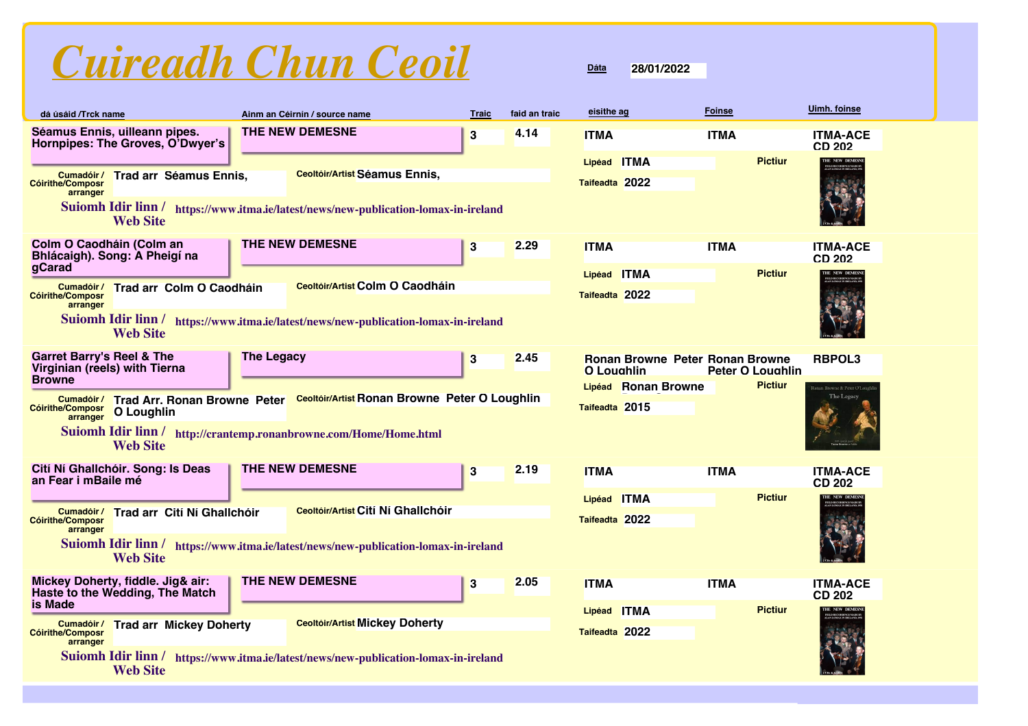| dá úsáid /Trck name                                                                    |                                                                      |                   | Ainm an Céirnín / source name                                                                                        | <b>Traic</b> | faid an traic | eisithe ag                            | <b>Foinse</b>                                                                       | <b>Uimh.</b> foinse                      |
|----------------------------------------------------------------------------------------|----------------------------------------------------------------------|-------------------|----------------------------------------------------------------------------------------------------------------------|--------------|---------------|---------------------------------------|-------------------------------------------------------------------------------------|------------------------------------------|
|                                                                                        | Séamus Ennis, uilleann pipes.<br>Hornpipes: The Groves, O'Dwyer's    |                   | THE NEW DEMESNE                                                                                                      | 3            | 4.14          | <b>ITMA</b>                           | <b>ITMA</b>                                                                         | <b>ITMA-ACE</b><br><b>CD 202</b>         |
| <b>Cóirithe/Composr</b><br>arranger                                                    | Cumadóir/ Trad arr Séamus Ennis,<br><b>Web Site</b>                  |                   | Ceoltóir/Artist Séamus Ennis,<br>Suiomh Idir linn / https://www.itma.ie/latest/news/new-publication-lomax-in-ireland |              |               | Lipéad ITMA<br>Taifeadta 2022         | <b>Pictiur</b>                                                                      | THE NEW DEMESN                           |
| Colm O Caodháin (Colm an                                                               | Bhlácaigh). Song: A Pheigí na                                        |                   | THE NEW DEMESNE                                                                                                      | 3            | 2.29          | <b>ITMA</b>                           | <b>ITMA</b>                                                                         | <b>ITMA-ACE</b><br><b>CD 202</b>         |
| gCarad<br><b>Cóirithe/Composr</b><br>arranger                                          | Cumadóir/ Trad arr Colm O Caodháin                                   |                   | <b>Ceoltóir/Artist Colm O Caodháin</b>                                                                               |              |               | Lipéad ITMA<br>Taifeadta 2022         | <b>Pictiur</b>                                                                      | THE NEW DEMESN                           |
|                                                                                        | <b>Web Site</b>                                                      |                   | Suiomh Idir linn / https://www.itma.ie/latest/news/new-publication-lomax-in-ireland                                  |              |               |                                       |                                                                                     |                                          |
| <b>Garret Barry's Reel &amp; The</b><br>Virginian (reels) with Tierna<br><b>Browne</b> |                                                                      | <b>The Legacy</b> |                                                                                                                      | 3            | 2.45          | O Loughlin                            | <b>Ronan Browne Peter Ronan Browne</b><br><b>Peter O Loughlin</b><br><b>Pictiur</b> | <b>RBPOL3</b>                            |
| <b>Cóirithe/Composr</b><br>arranger                                                    | O Loughlin                                                           |                   | Cumadóir/ Trad Arr. Ronan Browne Peter Ceoltóir/Artist Ronan Browne Peter O Loughlin                                 |              |               | Lipéad Ronan Browne<br>Taifeadta 2015 |                                                                                     | onan Browne & Peter O'Loug<br>The Legacy |
|                                                                                        | <b>Web Site</b>                                                      |                   | Suiomh Idir linn / http://crantemp.ronanbrowne.com/Home/Home.html                                                    |              |               |                                       |                                                                                     |                                          |
| an Fear i mBaile mé                                                                    | Cití Ní Ghallchóir. Song: Is Deas                                    |                   | THE NEW DEMESNE                                                                                                      | 3            | 2.19          | <b>ITMA</b>                           | <b>ITMA</b>                                                                         | <b>ITMA-ACE</b><br><b>CD 202</b>         |
| <b>Cóirithe/Composr</b><br>arranger                                                    | Cumadóir/ Trad arr Cití Ní Ghallchóir                                |                   | Ceoltóir/Artist Cití Ní Ghallchóir                                                                                   |              |               | Lipéad ITMA<br>Taifeadta 2022         | <b>Pictiur</b>                                                                      | THE NEW DEMESNI                          |
|                                                                                        | <b>Web Site</b>                                                      |                   | Suiomh Idir linn / https://www.itma.ie/latest/news/new-publication-lomax-in-ireland                                  |              |               |                                       |                                                                                     |                                          |
| is Made                                                                                | Mickey Doherty, fiddle. Jig& air:<br>Haste to the Wedding, The Match |                   | THE NEW DEMESNE                                                                                                      | 3            | 2.05          | <b>ITMA</b>                           | <b>ITMA</b>                                                                         | <b>ITMA-ACE</b><br><b>CD 202</b>         |
| <b>Cóirithe/Composr</b><br>arranger                                                    | Cumadóir/ Trad arr Mickey Doherty                                    |                   | <b>Ceoltóir/Artist Mickey Doherty</b>                                                                                |              |               | Lipéad ITMA<br>Taifeadta 2022         | <b>Pictiur</b>                                                                      | THE NEW DEMES                            |
|                                                                                        | Suiomh Idir linn/<br><b>Web Site</b>                                 |                   | https://www.itma.ie/latest/news/new-publication-lomax-in-ireland                                                     |              |               |                                       |                                                                                     |                                          |

### **Dáta 28/01/2022**



**ITMA ITMA ITMA-ACE CD 202**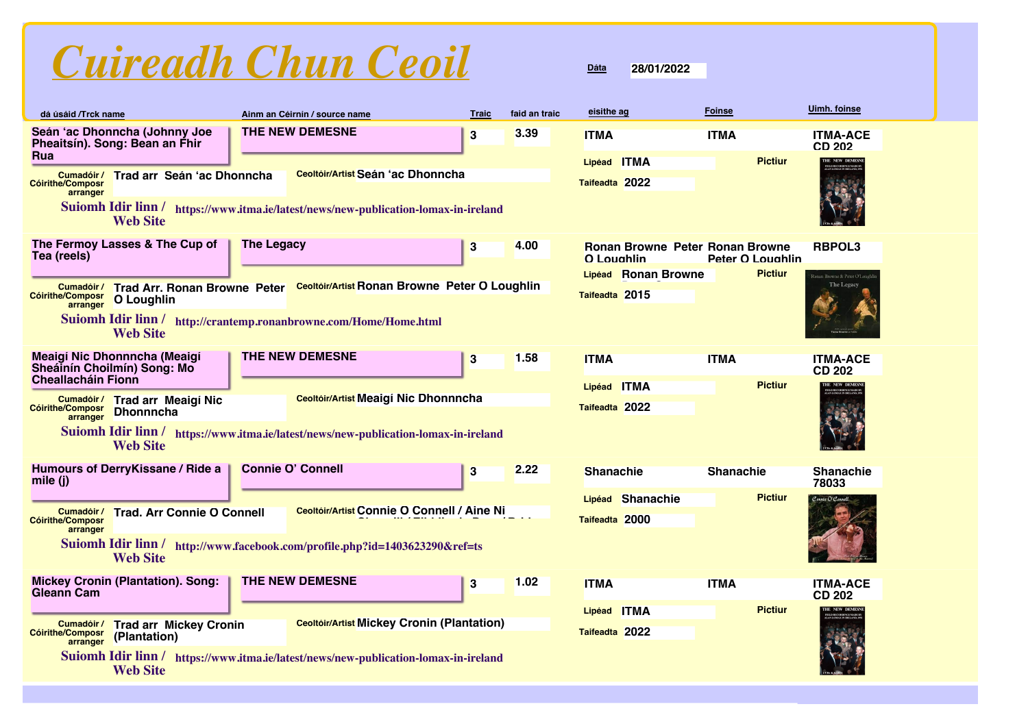

### **dá úsáid /Trck name eisithe ag Foinse Uimh. foinse Ainm an Céirnín / source name Traic faid an traic Seán 'ac Dhonncha (Johnny Joe Pheaitsín). Song: Bean an Fhir Rua ITMA ITMA ITMA-ACE THE NEW DEMESNE 3 Cumadóir / Trad arr Seán 'ac Dhonncha Cóirithe/Composr arranger Ceoltóir/Artist Seán 'ac Dhonncha Lipéad ITMA Taifeadta 2022 3.39 Suiomh Idir linn / https://www.itma.ie/latest/news/new-publication-lomax-in-ireland Web Site Pictiur The Fermoy Lasses & The Cup of Tea (reels) Ronan Browne Peter O Loughlin Ronan Browne Peter O Loughlin** The Legacy **Act 20 Million 12 Million 12 Million 13 Million 12 Million Roman Browne Peter Ronan Browne RBPOL3** Cumadóir / Trad Arr. Ronan Browne Peter Ceoltóir/Artist Ronan Browne Peter O Loughlin **O Loughlin Cóirithe/Composr arranger Ronan Browne Peter O Lipéad Taifeadta 2015 4.00 Suiomh Idir linn / http://crantemp.ronanbrowne.com/Home/Home.html Web Site Pictiur Meaigí Nic Dhonnncha (Meaigí Sheáinín Choilmín) Song: Mo Cheallacháin Fionn THE NEW DEMESNE 3 Trad arr Meaigí Nic Cumadóir / Dhonnncha Cóirithe/Composr arranger Ceoltóir/Artist Meaigí Nic Dhonnncha Lipéad ITMA Taifeadta 2022 1.58 Suiomh Idir linn / https://www.itma.ie/latest/news/new-publication-lomax-in-ireland Web Site Pictiur Humours of DerryKissane / Ride a mile (j) Connie O' Connell 3 Cumadóir / Trad. Arr Connie O Connell Cóirithe/Composr arranger Connie O Connell / Aine Ni Ceoltóir/Artist Lipéad Shanachie Taifeadta 2000 2.22 Suiomh Idir linn / http://www.facebook.com/profile.php?id=1403623290&ref=ts Web Site Pictiur Mickey Cronin (Plantation). Song: Gleann Cam ITMA ITMA ITMA-ACE THE NEW DEMESNE 3 Cumadóir / Trad arr Mickey Cronin (Plantation) arranger Cóirithe/Composr Ceoltóir/Artist Mickey Cronin (Plantation) Lipéad ITMA Taifeadta 2022 1.02 Suiomh Idir linn / https://www.itma.ie/latest/news/new-publication-lomax-in-ireland Web Site Pictiur**

# **CD 202**

### **CD 202**



| <b>O</b> Loughlin | <b>Ronan Browne Peter Ronan Browne</b> | Peter O Loughlin | <b>RBPOL3</b>                              |
|-------------------|----------------------------------------|------------------|--------------------------------------------|
|                   | Lipéad Ronan Browne                    | <b>Pictiur</b>   | Ronan Browne & Peter O'Lough<br>The Legacy |

**Dáta**

**28/01/2022**

| <b>ITMA</b>   | <b>ITMA</b> |                | <b>ITMA-ACE</b><br>CD 202                                                  |
|---------------|-------------|----------------|----------------------------------------------------------------------------|
| Lipéad ITMA   |             | <b>Pictiur</b> | THE NEW DEMESNE<br>FIELD RECORDINGS MADE BY<br>ALAN LOMAX IN IRELAND, 1951 |
| aifeadta 2022 |             |                |                                                                            |

| <b>Shanachie</b>                   | <b>Shanachie</b> | <b>Shanachie</b><br>78033 |
|------------------------------------|------------------|---------------------------|
| Lipéad Shanachie<br>Taifeadta 2000 | <b>Pictiur</b>   | Connie O'Connell          |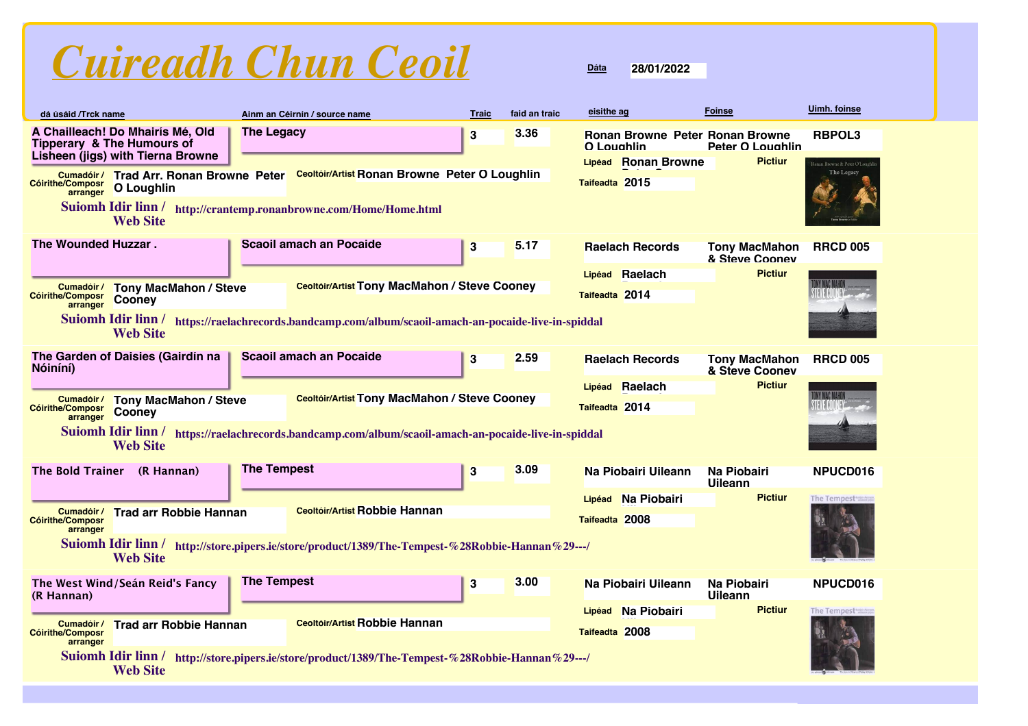

| dá úsáid /Trck name                                                                                            |                                                                                                                                          |                    | Ainm an Céirnín / source name                                                                        | <b>Traic</b> | faid an traic | eisithe ag                                           | <b>Foinse</b>                          | <b>Uimh. foinse</b>                        |
|----------------------------------------------------------------------------------------------------------------|------------------------------------------------------------------------------------------------------------------------------------------|--------------------|------------------------------------------------------------------------------------------------------|--------------|---------------|------------------------------------------------------|----------------------------------------|--------------------------------------------|
|                                                                                                                | A Chailleach! Do Mhairís Mé, Old<br><b>Tipperary &amp; The Humours of</b><br>Lisheen (jigs) with Tierna Browne                           | <b>The Legacy</b>  |                                                                                                      | 3            | 3.36          | <b>Ronan Browne Peter Ronan Browne</b><br>O Loughlin | <b>Peter O Loughlin</b>                | <b>RBPOL3</b>                              |
| Lipéad Ronan Browne<br>Ceoltóir/Artist Ronan Browne Peter O Loughlin<br>Cumadóir/ Trad Arr. Ronan Browne Peter |                                                                                                                                          |                    |                                                                                                      |              |               |                                                      | <b>Pictiur</b>                         | onan Browne & Peter O'Loughl<br>The Legacy |
| Taifeadta 2015<br>Cóirithe/Composr<br>arranger<br>O Loughlin                                                   |                                                                                                                                          |                    |                                                                                                      |              |               |                                                      |                                        |                                            |
|                                                                                                                | <b>Web Site</b>                                                                                                                          |                    | Suiomh Idir linn / http://crantemp.ronanbrowne.com/Home/Home.html                                    |              |               |                                                      |                                        |                                            |
| The Wounded Huzzar.                                                                                            |                                                                                                                                          |                    | <b>Scaoil amach an Pocaide</b>                                                                       | 3            | 5.17          | <b>Raelach Records</b>                               | <b>Tony MacMahon</b><br>& Steve Coonev | <b>RRCD 005</b>                            |
|                                                                                                                |                                                                                                                                          |                    | <b>Ceoltóir/Artist Tony MacMahon / Steve Cooney</b>                                                  |              |               | Lipéad Raelach                                       | <b>Pictiur</b>                         |                                            |
| <b>Cóirithe/Composr</b><br>arranger                                                                            | <b>Cumadóir/ Tony MacMahon / Steve</b><br>Cooney                                                                                         |                    |                                                                                                      |              |               | Taifeadta 2014                                       |                                        |                                            |
|                                                                                                                | <b>Web Site</b>                                                                                                                          |                    | Suiomh Idir linn / https://raelachrecords.bandcamp.com/album/scaoil-amach-an-pocaide-live-in-spiddal |              |               |                                                      |                                        |                                            |
| Nóiníní)                                                                                                       | The Garden of Daisies (Gairdín na                                                                                                        |                    | <b>Scaoil amach an Pocaide</b>                                                                       | $\bf{3}$     | 2.59          | <b>Raelach Records</b>                               | <b>Tony MacMahon</b><br>& Steve Coonev | <b>RRCD 005</b>                            |
|                                                                                                                |                                                                                                                                          |                    |                                                                                                      |              |               | Lipéad Raelach                                       | <b>Pictiur</b>                         |                                            |
| Cumadóir /<br><b>Cóirithe/Composr</b><br>arranger                                                              | <b>Tony MacMahon / Steve</b><br>Cooney                                                                                                   |                    | Ceoltóir/Artist Tony MacMahon / Steve Cooney                                                         |              |               | Taifeadta 2014                                       |                                        |                                            |
|                                                                                                                | <b>Web Site</b>                                                                                                                          |                    | Suiomh Idir linn / https://raelachrecords.bandcamp.com/album/scaoil-amach-an-pocaide-live-in-spiddal |              |               |                                                      |                                        |                                            |
| <b>The Bold Trainer</b>                                                                                        | (R Hannan)                                                                                                                               | <b>The Tempest</b> |                                                                                                      | 3            | 3.09          | Na Piobairi Uileann                                  | Na Piobairi<br><b>Uileann</b>          | NPUCD016                                   |
|                                                                                                                |                                                                                                                                          |                    | <b>Ceoltóir/Artist Robbie Hannan</b>                                                                 |              |               | Na Piobairi<br>Lipéad                                | <b>Pictiur</b>                         | The Tempest                                |
| Cumadóir /<br><b>Cóirithe/Composr</b><br>arranger                                                              | <b>Trad arr Robbie Hannan</b>                                                                                                            |                    |                                                                                                      |              |               | Taifeadta 2008                                       |                                        |                                            |
|                                                                                                                | $\mathbf{v}$ , $\mathbf{v}$ , $\mathbf{v}$ , $\mathbf{v}$ , $\mathbf{v}$ , $\mathbf{v}$ , $\mathbf{v}$ , $\mathbf{v}$<br><b>Web Site</b> |                    | Suiomh Idir linn / http://store.pipers.ie/store/product/1389/The-Tempest-%28Robbie-Hannan%29---/     |              |               |                                                      |                                        |                                            |
| (R Hannan)                                                                                                     | The West Wind/Seán Reid's Fancy                                                                                                          | <b>The Tempest</b> |                                                                                                      | $\bf{3}$     | 3.00          | Na Piobairi Uileann                                  | Na Piobairi<br><b>Uileann</b>          | NPUCD016                                   |
| Cumadóir /                                                                                                     | <b>Trad arr Robbie Hannan</b>                                                                                                            |                    | <b>Ceoltóir/Artist Robbie Hannan</b>                                                                 |              |               | Lipéad Na Piobairi                                   | <b>Pictiur</b>                         | The Tempest                                |
| <b>Cóirithe/Composr</b><br>arranger                                                                            |                                                                                                                                          |                    |                                                                                                      |              |               | Taifeadta 2008                                       |                                        |                                            |
|                                                                                                                | Suiomh Idir linn /<br><b>Web Site</b>                                                                                                    |                    | http://store.pipers.ie/store/product/1389/The-Tempest-%28Robbie-Hannan%29---/                        |              |               |                                                      |                                        |                                            |